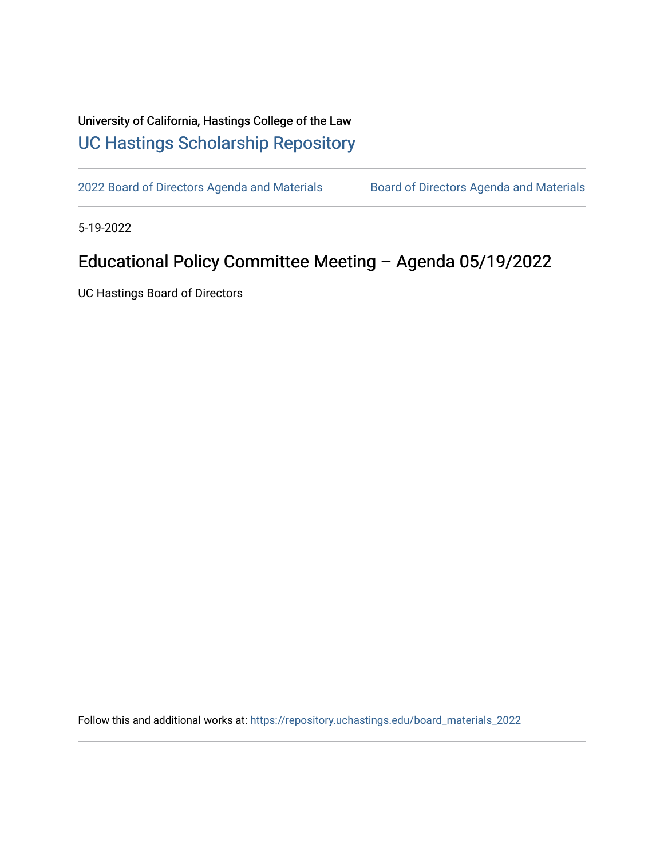## University of California, Hastings College of the Law [UC Hastings Scholarship Repository](https://repository.uchastings.edu/)

[2022 Board of Directors Agenda and Materials](https://repository.uchastings.edu/board_materials_2022) Board of Directors Agenda and Materials

5-19-2022

## Educational Policy Committee Meeting – Agenda 05/19/2022

UC Hastings Board of Directors

Follow this and additional works at: [https://repository.uchastings.edu/board\\_materials\\_2022](https://repository.uchastings.edu/board_materials_2022?utm_source=repository.uchastings.edu%2Fboard_materials_2022%2F32&utm_medium=PDF&utm_campaign=PDFCoverPages)